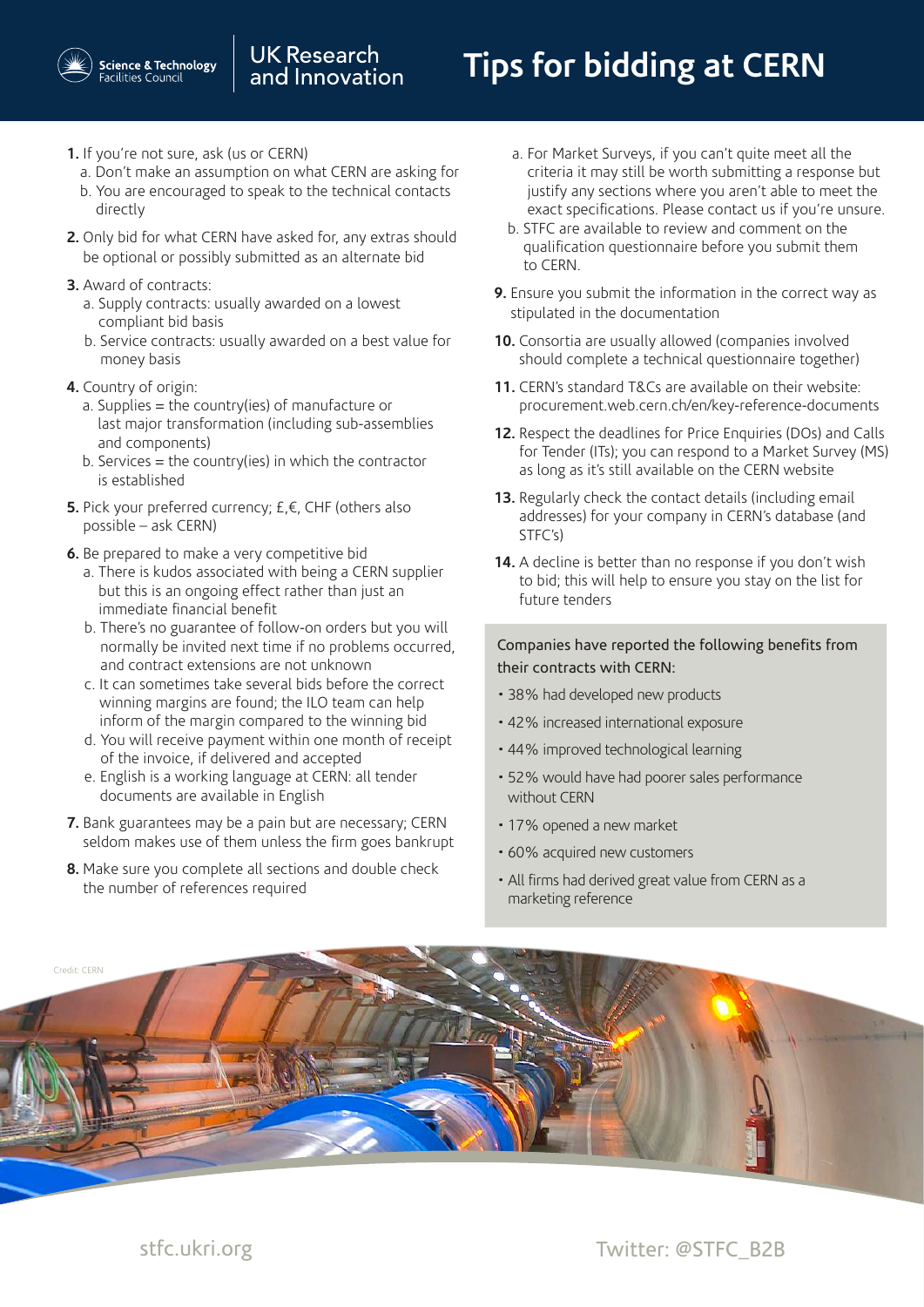## **Tips for bidding at CERN**

- **1.** If you're not sure, ask (us or CERN)
	- a. Don't make an assumption on what CERN are asking for b. You are encouraged to speak to the technical contacts
- directly
- **2.** Only bid for what CERN have asked for, any extras should be optional or possibly submitted as an alternate bid
- **3.** Award of contracts:
	- a. Supply contracts: usually awarded on a lowest compliant bid basis
	- b. Service contracts: usually awarded on a best value for money basis
- **4.** Country of origin:
	- a. Supplies = the country(ies) of manufacture or last major transformation (including sub-assemblies and components)
	- b. Services  $=$  the country(ies) in which the contractor is established
- **5.** Pick your preferred currency; £,€, CHF (others also possible – ask CERN)
- **6.** Be prepared to make a very competitive bid
	- a. There is kudos associated with being a CERN supplier but this is an ongoing effect rather than just an immediate financial benefit
	- b. There's no guarantee of follow-on orders but you will normally be invited next time if no problems occurred, and contract extensions are not unknown
	- c. It can sometimes take several bids before the correct winning margins are found; the ILO team can help inform of the margin compared to the winning bid
	- d. You will receive payment within one month of receipt of the invoice, if delivered and accepted
	- e. English is a working language at CERN: all tender documents are available in English
- **7.** Bank guarantees may be a pain but are necessary; CERN seldom makes use of them unless the firm goes bankrupt
- **8.** Make sure you complete all sections and double check the number of references required
- a. For Market Surveys, if you can't quite meet all the criteria it may still be worth submitting a response but justify any sections where you aren't able to meet the exact specifications. Please contact us if you're unsure.
- b. STFC are available to review and comment on the qualification questionnaire before you submit them to CERN.
- **9.** Ensure you submit the information in the correct way as stipulated in the documentation
- **10.** Consortia are usually allowed (companies involved should complete a technical questionnaire together)
- **11.** CERN's standard T&Cs are available on their website: procurement.web.cern.ch/en/key-reference-documents
- **12.** Respect the deadlines for Price Enquiries (DOs) and Calls for Tender (ITs); you can respond to a Market Survey (MS) as long as it's still available on the CERN website
- **13.** Regularly check the contact details (including email addresses) for your company in CERN's database (and STFC's)
- **14.** A decline is better than no response if you don't wish to bid; this will help to ensure you stay on the list for future tenders

## Companies have reported the following benefits from their contracts with CERN:

- 38% had developed new products
- 42% increased international exposure
- 44% improved technological learning
- 52% would have had poorer sales performance without CERN
- 17% opened a new market
- 60% acquired new customers
- All firms had derived great value from CERN as a marketing reference